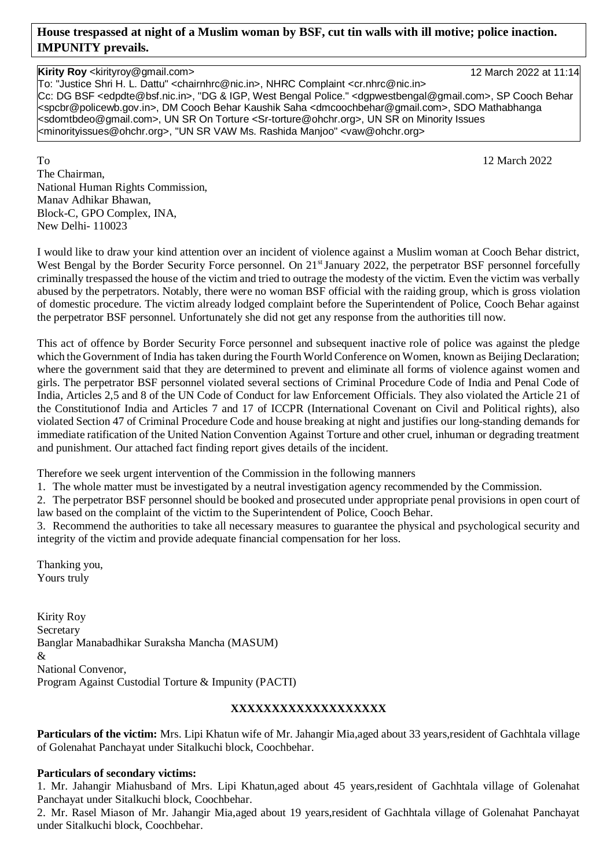# **House trespassed at night of a Muslim woman by BSF, cut tin walls with ill motive; police inaction. IMPUNITY prevails.**

#### **Kirity Roy** <kirityroy@gmail.com> 12 March 2022 at 11:14

To: "Justice Shri H. L. Dattu" <chairnhrc@nic.in>, NHRC Complaint <cr.nhrc@nic.in> Cc: DG BSF <edpdte@bsf.nic.in>, "DG & IGP, West Bengal Police." <dgpwestbengal@gmail.com>, SP Cooch Behar <spcbr@policewb.gov.in>, DM Cooch Behar Kaushik Saha <dmcoochbehar@gmail.com>, SDO Mathabhanga <sdomtbdeo@gmail.com>, UN SR On Torture <Sr-torture@ohchr.org>, UN SR on Minority Issues <minorityissues@ohchr.org>, "UN SR VAW Ms. Rashida Manjoo" <vaw@ohchr.org>

To 12 March 2022 The Chairman, National Human Rights Commission, Manav Adhikar Bhawan, Block-C, GPO Complex, INA, New Delhi- 110023

I would like to draw your kind attention over an incident of violence against a Muslim woman at Cooch Behar district, West Bengal by the Border Security Force personnel. On 21<sup>st</sup> January 2022, the perpetrator BSF personnel forcefully criminally trespassed the house of the victim and tried to outrage the modesty of the victim. Even the victim was verbally abused by the perpetrators. Notably, there were no woman BSF official with the raiding group, which is gross violation of domestic procedure. The victim already lodged complaint before the Superintendent of Police, Cooch Behar against the perpetrator BSF personnel. Unfortunately she did not get any response from the authorities till now.

This act of offence by Border Security Force personnel and subsequent inactive role of police was against the pledge which the Government of India has taken during the Fourth World Conference on Women, known as Beijing Declaration; where the government said that they are determined to prevent and eliminate all forms of violence against women and girls. The perpetrator BSF personnel violated several sections of Criminal Procedure Code of India and Penal Code of India, Articles 2,5 and 8 of the UN Code of Conduct for law Enforcement Officials. They also violated the Article 21 of the Constitutionof India and Articles 7 and 17 of ICCPR (International Covenant on Civil and Political rights), also violated Section 47 of Criminal Procedure Code and house breaking at night and justifies our long-standing demands for immediate ratification of the United Nation Convention Against Torture and other cruel, inhuman or degrading treatment and punishment. Our attached fact finding report gives details of the incident.

Therefore we seek urgent intervention of the Commission in the following manners

1. The whole matter must be investigated by a neutral investigation agency recommended by the Commission.

2. The perpetrator BSF personnel should be booked and prosecuted under appropriate penal provisions in open court of law based on the complaint of the victim to the Superintendent of Police, Cooch Behar.

3. Recommend the authorities to take all necessary measures to guarantee the physical and psychological security and integrity of the victim and provide adequate financial compensation for her loss.

Thanking you, Yours truly

Kirity Roy Secretary Banglar Manabadhikar Suraksha Mancha (MASUM) & National Convenor, Program Against Custodial Torture & Impunity (PACTI)

# **XXXXXXXXXXXXXXXXXXX**

**Particulars of the victim:** Mrs. Lipi Khatun wife of Mr. Jahangir Mia,aged about 33 years,resident of Gachhtala village of Golenahat Panchayat under Sitalkuchi block, Coochbehar.

## **Particulars of secondary victims:**

1. Mr. Jahangir Miahusband of Mrs. Lipi Khatun,aged about 45 years,resident of Gachhtala village of Golenahat Panchayat under Sitalkuchi block, Coochbehar.

2. Mr. Rasel Miason of Mr. Jahangir Mia,aged about 19 years,resident of Gachhtala village of Golenahat Panchayat under Sitalkuchi block, Coochbehar.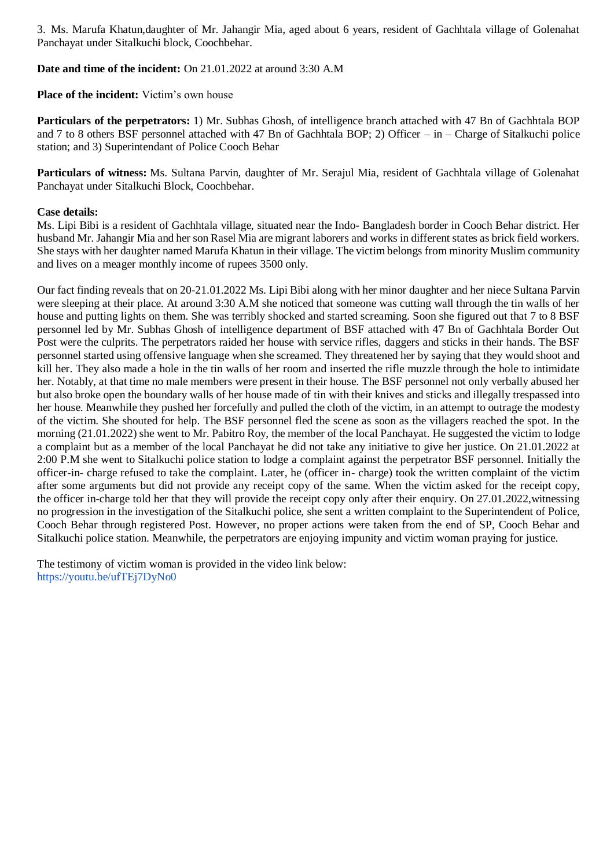3. Ms. Marufa Khatun,daughter of Mr. Jahangir Mia, aged about 6 years, resident of Gachhtala village of Golenahat Panchayat under Sitalkuchi block, Coochbehar.

### **Date and time of the incident:** On 21.01.2022 at around 3:30 A.M

**Place of the incident:** Victim's own house

**Particulars of the perpetrators:** 1) Mr. Subhas Ghosh, of intelligence branch attached with 47 Bn of Gachhtala BOP and 7 to 8 others BSF personnel attached with 47 Bn of Gachhtala BOP; 2) Officer – in – Charge of Sitalkuchi police station; and 3) Superintendant of Police Cooch Behar

**Particulars of witness:** Ms. Sultana Parvin, daughter of Mr. Serajul Mia, resident of Gachhtala village of Golenahat Panchayat under Sitalkuchi Block, Coochbehar.

### **Case details:**

Ms. Lipi Bibi is a resident of Gachhtala village, situated near the Indo- Bangladesh border in Cooch Behar district. Her husband Mr. Jahangir Mia and her son Rasel Mia are migrant laborers and works in different states as brick field workers. She stays with her daughter named Marufa Khatun in their village. The victim belongs from minority Muslim community and lives on a meager monthly income of rupees 3500 only.

Our fact finding reveals that on 20-21.01.2022 Ms. Lipi Bibi along with her minor daughter and her niece Sultana Parvin were sleeping at their place. At around 3:30 A.M she noticed that someone was cutting wall through the tin walls of her house and putting lights on them. She was terribly shocked and started screaming. Soon she figured out that 7 to 8 BSF personnel led by Mr. Subhas Ghosh of intelligence department of BSF attached with 47 Bn of Gachhtala Border Out Post were the culprits. The perpetrators raided her house with service rifles, daggers and sticks in their hands. The BSF personnel started using offensive language when she screamed. They threatened her by saying that they would shoot and kill her. They also made a hole in the tin walls of her room and inserted the rifle muzzle through the hole to intimidate her. Notably, at that time no male members were present in their house. The BSF personnel not only verbally abused her but also broke open the boundary walls of her house made of tin with their knives and sticks and illegally trespassed into her house. Meanwhile they pushed her forcefully and pulled the cloth of the victim, in an attempt to outrage the modesty of the victim. She shouted for help. The BSF personnel fled the scene as soon as the villagers reached the spot. In the morning (21.01.2022) she went to Mr. Pabitro Roy, the member of the local Panchayat. He suggested the victim to lodge a complaint but as a member of the local Panchayat he did not take any initiative to give her justice. On 21.01.2022 at 2:00 P.M she went to Sitalkuchi police station to lodge a complaint against the perpetrator BSF personnel. Initially the officer-in- charge refused to take the complaint. Later, he (officer in- charge) took the written complaint of the victim after some arguments but did not provide any receipt copy of the same. When the victim asked for the receipt copy, the officer in-charge told her that they will provide the receipt copy only after their enquiry. On 27.01.2022,witnessing no progression in the investigation of the Sitalkuchi police, she sent a written complaint to the Superintendent of Police, Cooch Behar through registered Post. However, no proper actions were taken from the end of SP, Cooch Behar and Sitalkuchi police station. Meanwhile, the perpetrators are enjoying impunity and victim woman praying for justice.

The testimony of victim woman is provided in the video link below: <https://youtu.be/ufTEj7DyNo0>